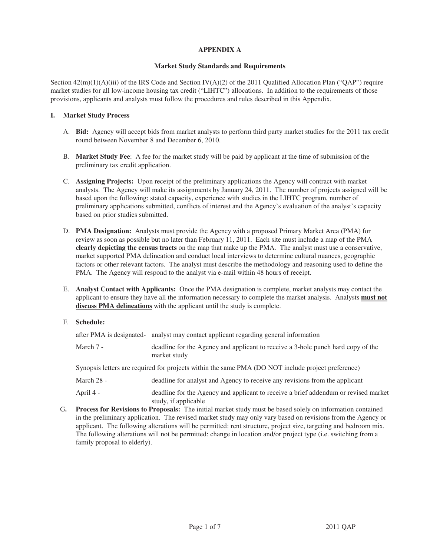## **APPENDIX A**

## **Market Study Standards and Requirements**

Section  $42(m)(1)(A)(iii)$  of the IRS Code and Section IV(A)(2) of the 2011 Qualified Allocation Plan ("QAP") require market studies for all low-income housing tax credit ("LIHTC") allocations. In addition to the requirements of those provisions, applicants and analysts must follow the procedures and rules described in this Appendix.

## **I. Market Study Process**

- A. **Bid:** Agency will accept bids from market analysts to perform third party market studies for the 2011 tax credit round between November 8 and December 6, 2010.
- B. **Market Study Fee**: A fee for the market study will be paid by applicant at the time of submission of the preliminary tax credit application.
- C. **Assigning Projects:** Upon receipt of the preliminary applications the Agency will contract with market analysts. The Agency will make its assignments by January 24, 2011. The number of projects assigned will be based upon the following: stated capacity, experience with studies in the LIHTC program, number of preliminary applications submitted, conflicts of interest and the Agency's evaluation of the analyst's capacity based on prior studies submitted.
- D. **PMA Designation:** Analysts must provide the Agency with a proposed Primary Market Area (PMA) for review as soon as possible but no later than February 11, 2011. Each site must include a map of the PMA **clearly depicting the census tracts** on the map that make up the PMA. The analyst must use a conservative, market supported PMA delineation and conduct local interviews to determine cultural nuances, geographic factors or other relevant factors. The analyst must describe the methodology and reasoning used to define the PMA. The Agency will respond to the analyst via e-mail within 48 hours of receipt.
- E. **Analyst Contact with Applicants:** Once the PMA designation is complete, market analysts may contact the applicant to ensure they have all the information necessary to complete the market analysis. Analysts **must not discuss PMA delineations** with the applicant until the study is complete.
- F. **Schedule:**

after PMA is designated- analyst may contact applicant regarding general information March 7 - deadline for the Agency and applicant to receive a 3-hole punch hard copy of the

Synopsis letters are required for projects within the same PMA (DO NOT include project preference)

market study

```
March 28 - deadline for analyst and Agency to receive any revisions from the applicant
```
April 4 - deadline for the Agency and applicant to receive a brief addendum or revised market study, if applicable

G**. Process for Revisions to Proposals:** The initial market study must be based solely on information contained in the preliminary application. The revised market study may only vary based on revisions from the Agency or applicant. The following alterations will be permitted: rent structure, project size, targeting and bedroom mix. The following alterations will not be permitted: change in location and/or project type (i.e. switching from a family proposal to elderly).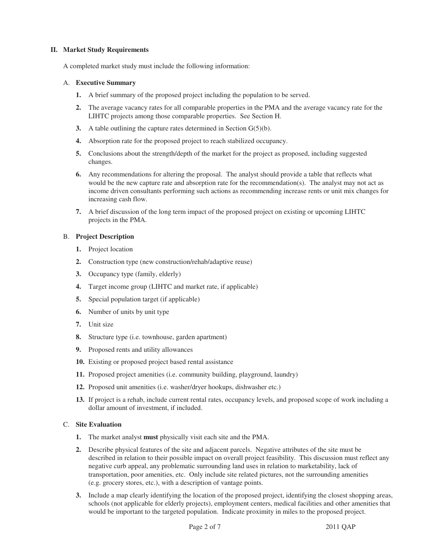## **II. Market Study Requirements**

A completed market study must include the following information:

#### A. **Executive Summary**

- **1.** A brief summary of the proposed project including the population to be served.
- **2.** The average vacancy rates for all comparable properties in the PMA and the average vacancy rate for the LIHTC projects among those comparable properties. See Section H.
- **3.** A table outlining the capture rates determined in Section G(5)(b).
- **4.** Absorption rate for the proposed project to reach stabilized occupancy.
- **5.** Conclusions about the strength/depth of the market for the project as proposed, including suggested changes.
- **6.** Any recommendations for altering the proposal. The analyst should provide a table that reflects what would be the new capture rate and absorption rate for the recommendation(s). The analyst may not act as income driven consultants performing such actions as recommending increase rents or unit mix changes for increasing cash flow.
- **7.** A brief discussion of the long term impact of the proposed project on existing or upcoming LIHTC projects in the PMA.

#### B. **Project Description**

- **1.** Project location
- **2.** Construction type (new construction/rehab/adaptive reuse)
- **3.** Occupancy type (family, elderly)
- **4.** Target income group (LIHTC and market rate, if applicable)
- **5.** Special population target (if applicable)
- **6.** Number of units by unit type
- **7.** Unit size
- **8.** Structure type (i.e. townhouse, garden apartment)
- **9.** Proposed rents and utility allowances
- **10.** Existing or proposed project based rental assistance
- **11.** Proposed project amenities (i.e. community building, playground, laundry)
- **12.** Proposed unit amenities (i.e. washer/dryer hookups, dishwasher etc.)
- **13.** If project is a rehab, include current rental rates, occupancy levels, and proposed scope of work including a dollar amount of investment, if included.

## C. **Site Evaluation**

- **1.** The market analyst **must** physically visit each site and the PMA.
- **2.** Describe physical features of the site and adjacent parcels. Negative attributes of the site must be described in relation to their possible impact on overall project feasibility. This discussion must reflect any negative curb appeal, any problematic surrounding land uses in relation to marketability, lack of transportation, poor amenities, etc. Only include site related pictures, not the surrounding amenities (e.g. grocery stores, etc.), with a description of vantage points.
- **3.** Include a map clearly identifying the location of the proposed project, identifying the closest shopping areas, schools (not applicable for elderly projects), employment centers, medical facilities and other amenities that would be important to the targeted population. Indicate proximity in miles to the proposed project.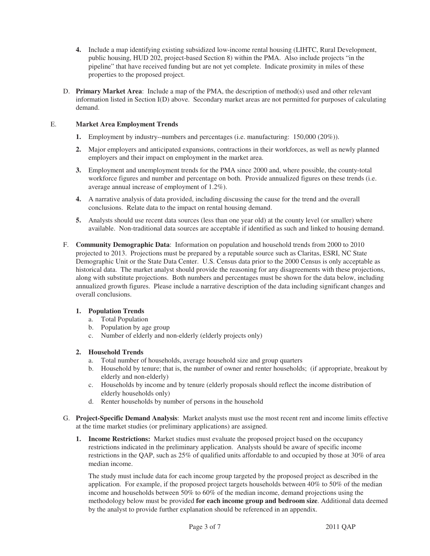- **4.** Include a map identifying existing subsidized low-income rental housing (LIHTC, Rural Development, public housing, HUD 202, project-based Section 8) within the PMA. Also include projects "in the pipeline" that have received funding but are not yet complete. Indicate proximity in miles of these properties to the proposed project.
- D. **Primary Market Area**: Include a map of the PMA, the description of method(s) used and other relevant information listed in Section I(D) above. Secondary market areas are not permitted for purposes of calculating demand.

## E. **Market Area Employment Trends**

- **1.** Employment by industry--numbers and percentages (i.e. manufacturing: 150,000 (20%)).
- **2.** Major employers and anticipated expansions, contractions in their workforces, as well as newly planned employers and their impact on employment in the market area.
- **3.** Employment and unemployment trends for the PMA since 2000 and, where possible, the county-total workforce figures and number and percentage on both. Provide annualized figures on these trends (i.e. average annual increase of employment of 1.2%).
- **4.** A narrative analysis of data provided, including discussing the cause for the trend and the overall conclusions. Relate data to the impact on rental housing demand.
- **5.** Analysts should use recent data sources (less than one year old) at the county level (or smaller) where available. Non-traditional data sources are acceptable if identified as such and linked to housing demand.
- F. **Community Demographic Data**: Information on population and household trends from 2000 to 2010 projected to 2013. Projections must be prepared by a reputable source such as Claritas, ESRI, NC State Demographic Unit or the State Data Center. U.S. Census data prior to the 2000 Census is only acceptable as historical data. The market analyst should provide the reasoning for any disagreements with these projections, along with substitute projections. Both numbers and percentages must be shown for the data below, including annualized growth figures. Please include a narrative description of the data including significant changes and overall conclusions.

# **1. Population Trends**

- a. Total Population
- b. Population by age group
- c. Number of elderly and non-elderly (elderly projects only)

## **2. Household Trends**

- a. Total number of households, average household size and group quarters
- b. Household by tenure; that is, the number of owner and renter households; (if appropriate, breakout by elderly and non-elderly)
- c. Households by income and by tenure (elderly proposals should reflect the income distribution of elderly households only)
- d. Renter households by number of persons in the household
- G. **Project-Specific Demand Analysis**: Market analysts must use the most recent rent and income limits effective at the time market studies (or preliminary applications) are assigned.
	- **1. Income Restrictions:** Market studies must evaluate the proposed project based on the occupancy restrictions indicated in the preliminary application. Analysts should be aware of specific income restrictions in the QAP, such as 25% of qualified units affordable to and occupied by those at 30% of area median income.

The study must include data for each income group targeted by the proposed project as described in the application. For example, if the proposed project targets households between 40% to 50% of the median income and households between 50% to 60% of the median income, demand projections using the methodology below must be provided **for each income group and bedroom size**. Additional data deemed by the analyst to provide further explanation should be referenced in an appendix.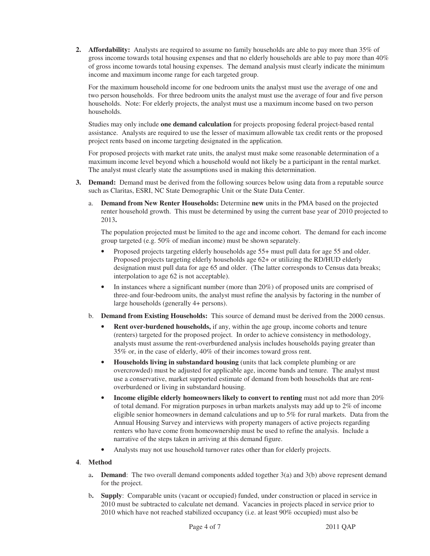**2. Affordability:** Analysts are required to assume no family households are able to pay more than 35% of gross income towards total housing expenses and that no elderly households are able to pay more than 40% of gross income towards total housing expenses. The demand analysis must clearly indicate the minimum income and maximum income range for each targeted group.

For the maximum household income for one bedroom units the analyst must use the average of one and two person households. For three bedroom units the analyst must use the average of four and five person households. Note: For elderly projects, the analyst must use a maximum income based on two person households.

Studies may only include **one demand calculation** for projects proposing federal project-based rental assistance. Analysts are required to use the lesser of maximum allowable tax credit rents or the proposed project rents based on income targeting designated in the application.

For proposed projects with market rate units, the analyst must make some reasonable determination of a maximum income level beyond which a household would not likely be a participant in the rental market. The analyst must clearly state the assumptions used in making this determination.

- **3. Demand:** Demand must be derived from the following sources below using data from a reputable source such as Claritas, ESRI, NC State Demographic Unit or the State Data Center.
	- a. **Demand from New Renter Households:** Determine **new** units in the PMA based on the projected renter household growth. This must be determined by using the current base year of 2010 projected to 2013**.**

The population projected must be limited to the age and income cohort.The demand for each income group targeted (e.g. 50% of median income) must be shown separately.

- Proposed projects targeting elderly households age 55+ must pull data for age 55 and older. Proposed projects targeting elderly households age 62+ or utilizing the RD/HUD elderly designation must pull data for age 65 and older. (The latter corresponds to Census data breaks; interpolation to age 62 is not acceptable).
- In instances where a significant number (more than 20%) of proposed units are comprised of three-and four-bedroom units, the analyst must refine the analysis by factoring in the number of large households (generally 4+ persons).
- b. **Demand from Existing Households:** This source of demand must be derived from the 2000 census.
	- **Rent over-burdened households,** if any, within the age group, income cohorts and tenure (renters) targeted for the proposed project. In order to achieve consistency in methodology, analysts must assume the rent-overburdened analysis includes households paying greater than 35% or, in the case of elderly, 40% of their incomes toward gross rent.
	- **Households living in substandard housing** (units that lack complete plumbing or are overcrowded) must be adjusted for applicable age, income bands and tenure. The analyst must use a conservative, market supported estimate of demand from both households that are rentoverburdened or living in substandard housing.
	- **Income eligible elderly homeowners likely to convert to renting** must not add more than 20% of total demand. For migration purposes in urban markets analysts may add up to 2% of income eligible senior homeowners in demand calculations and up to 5% for rural markets. Data from the Annual Housing Survey and interviews with property managers of active projects regarding renters who have come from homeownership must be used to refine the analysis. Include a narrative of the steps taken in arriving at this demand figure.
	- Analysts may not use household turnover rates other than for elderly projects.

## **4**. **Method**

- a**. Demand**: The two overall demand components added together 3(a) and 3(b) above represent demand for the project.
- b**. Supply**: Comparable units (vacant or occupied) funded, under construction or placed in service in 2010 must be subtracted to calculate net demand. Vacancies in projects placed in service prior to 2010 which have not reached stabilized occupancy (i.e. at least 90% occupied) must also be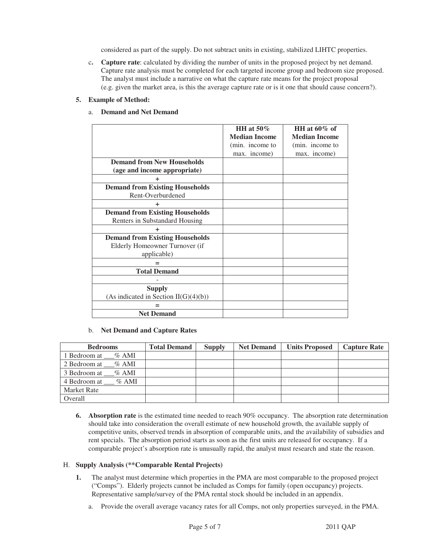considered as part of the supply. Do not subtract units in existing, stabilized LIHTC properties.

c**. Capture rate**: calculated by dividing the number of units in the proposed project by net demand. Capture rate analysis must be completed for each targeted income group and bedroom size proposed. The analyst must include a narrative on what the capture rate means for the project proposal (e.g. given the market area, is this the average capture rate or is it one that should cause concern?).

# **5. Example of Method:**

## a. **Demand and Net Demand**

|                                         | HH at $50\%$         | HH at $60\%$ of      |
|-----------------------------------------|----------------------|----------------------|
|                                         |                      |                      |
|                                         | <b>Median Income</b> | <b>Median Income</b> |
|                                         | (min. income to      | (min. income to      |
|                                         | max. income)         | max. income)         |
| <b>Demand from New Households</b>       |                      |                      |
| (age and income appropriate)            |                      |                      |
| ÷                                       |                      |                      |
| <b>Demand from Existing Households</b>  |                      |                      |
| Rent-Overburdened                       |                      |                      |
| ٠                                       |                      |                      |
| <b>Demand from Existing Households</b>  |                      |                      |
| Renters in Substandard Housing          |                      |                      |
| ÷                                       |                      |                      |
| <b>Demand from Existing Households</b>  |                      |                      |
| Elderly Homeowner Turnover (if          |                      |                      |
| applicable)                             |                      |                      |
|                                         |                      |                      |
| <b>Total Demand</b>                     |                      |                      |
|                                         |                      |                      |
| <b>Supply</b>                           |                      |                      |
| (As indicated in Section $II(G)(4)(b))$ |                      |                      |
|                                         |                      |                      |
| <b>Net Demand</b>                       |                      |                      |

# b. **Net Demand and Capture Rates**

| <b>Bedrooms</b>          | <b>Total Demand</b> | <b>Supply</b> | <b>Net Demand</b> | <b>Units Proposed</b> | <b>Capture Rate</b> |
|--------------------------|---------------------|---------------|-------------------|-----------------------|---------------------|
| 1 Bedroom at % AMI       |                     |               |                   |                       |                     |
| 2 Bedroom at % AMI       |                     |               |                   |                       |                     |
| 3 Bedroom at % AMI       |                     |               |                   |                       |                     |
| 4 Bedroom at<br>$\%$ AMI |                     |               |                   |                       |                     |
| <b>Market Rate</b>       |                     |               |                   |                       |                     |
| Overall                  |                     |               |                   |                       |                     |

**6. Absorption rate** is the estimated time needed to reach 90% occupancy. The absorption rate determination should take into consideration the overall estimate of new household growth, the available supply of competitive units, observed trends in absorption of comparable units, and the availability of subsidies and rent specials. The absorption period starts as soon as the first units are released for occupancy. If a comparable project's absorption rate is unusually rapid, the analyst must research and state the reason.

## H. **Supply Analysis (\*\*Comparable Rental Projects)**

- **1.** The analyst must determine which properties in the PMA are most comparable to the proposed project ("Comps"). Elderly projects cannot be included as Comps for family (open occupancy) projects. Representative sample/survey of the PMA rental stock should be included in an appendix.
	- a. Provide the overall average vacancy rates for all Comps, not only properties surveyed, in the PMA.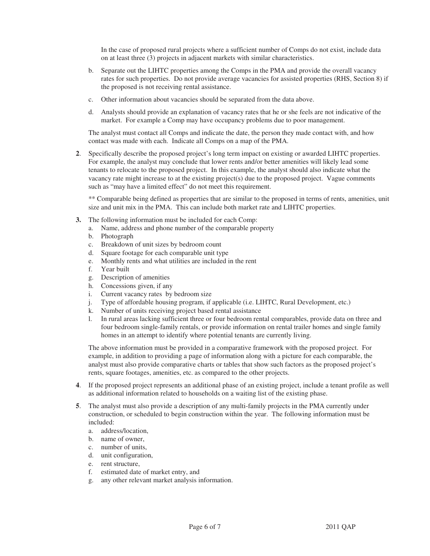In the case of proposed rural projects where a sufficient number of Comps do not exist, include data on at least three (3) projects in adjacent markets with similar characteristics.

- b. Separate out the LIHTC properties among the Comps in the PMA and provide the overall vacancy rates for such properties. Do not provide average vacancies for assisted properties (RHS, Section 8) if the proposed is not receiving rental assistance.
- c. Other information about vacancies should be separated from the data above.
- d. Analysts should provide an explanation of vacancy rates that he or she feels are not indicative of the market. For example a Comp may have occupancy problems due to poor management.

The analyst must contact all Comps and indicate the date, the person they made contact with, and how contact was made with each. Indicate all Comps on a map of the PMA.

**2**. Specifically describe the proposed project's long term impact on existing or awarded LIHTC properties. For example, the analyst may conclude that lower rents and/or better amenities will likely lead some tenants to relocate to the proposed project. In this example, the analyst should also indicate what the vacancy rate might increase to at the existing project(s) due to the proposed project. Vague comments such as "may have a limited effect" do not meet this requirement.

 \*\* Comparable being defined as properties that are similar to the proposed in terms of rents, amenities, unit size and unit mix in the PMA. This can include both market rate and LIHTC properties.

- **3.** The following information must be included for each Comp:
	- a. Name, address and phone number of the comparable property
		- b. Photograph
		- c. Breakdown of unit sizes by bedroom count
		- d. Square footage for each comparable unit type
		- e. Monthly rents and what utilities are included in the rent
		- f. Year built
		- g. Description of amenities
		- h. Concessions given, if any
		- i. Current vacancy rates by bedroom size
		- j. Type of affordable housing program, if applicable (i.e. LIHTC, Rural Development, etc.)
		- k. Number of units receiving project based rental assistance
		- l. In rural areas lacking sufficient three or four bedroom rental comparables, provide data on three and four bedroom single-family rentals, or provide information on rental trailer homes and single family homes in an attempt to identify where potential tenants are currently living.

The above information must be provided in a comparative framework with the proposed project. For example, in addition to providing a page of information along with a picture for each comparable, the analyst must also provide comparative charts or tables that show such factors as the proposed project's rents, square footages, amenities, etc. as compared to the other projects.

- **4**. If the proposed project represents an additional phase of an existing project, include a tenant profile as well as additional information related to households on a waiting list of the existing phase.
- **5**. The analyst must also provide a description of any multi-family projects in the PMA currently under construction, or scheduled to begin construction within the year. The following information must be included:
	- a. address/location,
	- b. name of owner,
	- c. number of units,
	- d. unit configuration,
	- e. rent structure,
	- f. estimated date of market entry, and
	- g. any other relevant market analysis information.